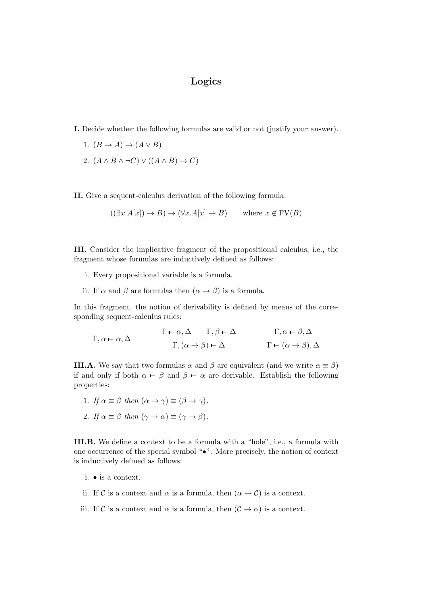## Logics

- I. Decide whether the following formulas are valid or not (justify your answer).
	- 1.  $(B \to A) \to (A \lor B)$
	- 2.  $(A \wedge B \wedge \neg C) \vee ((A \wedge B) \rightarrow C)$

II. Give a sequent-calculus derivation of the following formula.

$$
((\exists x.A[x]) \to B) \to (\forall x.A[x] \to B) \qquad \text{where } x \notin \text{FV}(B)
$$

III. Consider the implicative fragment of the propositional calculus, i.e., the fragment whose formulas are inductively defined as follows:

- i. Every propositional variable is a formula.
- ii. If  $\alpha$  and  $\beta$  are formulas then  $(\alpha \rightarrow \beta)$  is a formula.

In this fragment, the notion of derivability is defined by means of the corresponding sequent-calculus rules:

$$
\Gamma, \alpha \vdash \alpha, \Delta \qquad \qquad \frac{\Gamma \vdash \alpha, \Delta \qquad \Gamma, \beta \vdash \Delta}{\Gamma, (\alpha \to \beta) \vdash \Delta} \qquad \qquad \frac{\Gamma, \alpha \vdash \beta, \Delta}{\Gamma \vdash (\alpha \to \beta), \Delta}
$$

**III.A.** We say that two formulas  $\alpha$  and  $\beta$  are equivalent (and we write  $\alpha \equiv \beta$ ) if and only if both  $\alpha$  –  $\beta$  and  $\beta$  –  $\alpha$  are derivable. Establish the following properties:

- 1. If  $\alpha \equiv \beta$  then  $(\alpha \to \gamma) \equiv (\beta \to \gamma)$ .
- 2. If  $\alpha \equiv \beta$  then  $(\gamma \to \alpha) \equiv (\gamma \to \beta)$ .

III.B. We define a context to be a formula with a "hole", i.e., a formula with one occurrence of the special symbol "•". More precisely, the notion of context is inductively defined as follows:

- i. is a context.
- ii. If C is a context and  $\alpha$  is a formula, then  $(\alpha \to C)$  is a context.

iii. If C is a context and  $\alpha$  is a formula, then  $(C \to \alpha)$  is a context.